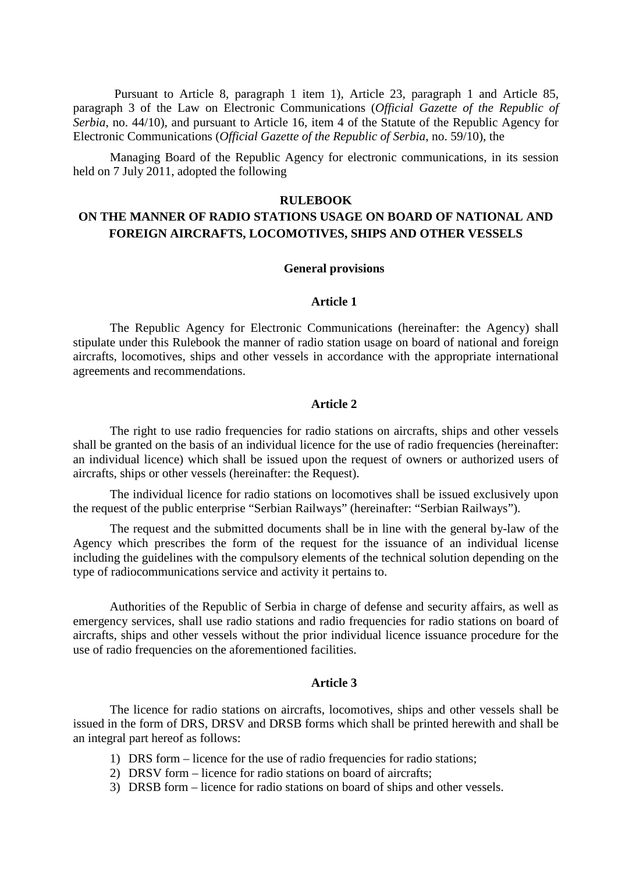Pursuant to Article 8, paragraph 1 item 1), Article 23, paragraph 1 and Article 85, paragraph 3 of the Law on Electronic Communications (*Official Gazette of the Republic of Serbia*, no. 44/10), and pursuant to Article 16, item 4 of the Statute of the Republic Agency for Electronic Communications (*Official Gazette of the Republic of Serbia*, no. 59/10), the

Managing Board of the Republic Agency for electronic communications, in its session held on 7 July 2011, adopted the following

#### **RULEBOOK**

# **ON THE MANNER OF RADIO STATIONS USAGE ON BOARD OF NATIONAL AND FOREIGN AIRCRAFTS, LOCOMOTIVES, SHIPS AND OTHER VESSELS**

#### **General provisions**

# **Article 1**

The Republic Agency for Electronic Communications (hereinafter: the Agency) shall stipulate under this Rulebook the manner of radio station usage on board of national and foreign aircrafts, locomotives, ships and other vessels in accordance with the appropriate international agreements and recommendations.

### **Article 2**

The right to use radio frequencies for radio stations on aircrafts, ships and other vessels shall be granted on the basis of an individual licence for the use of radio frequencies (hereinafter: an individual licence) which shall be issued upon the request of owners or authorized users of aircrafts, ships or other vessels (hereinafter: the Request).

The individual licence for radio stations on locomotives shall be issued exclusively upon the request of the public enterprise "Serbian Railways" (hereinafter: "Serbian Railways").

The request and the submitted documents shall be in line with the general by-law of the Agency which prescribes the form of the request for the issuance of an individual license including the guidelines with the compulsory elements of the technical solution depending on the type of radiocommunications service and activity it pertains to.

Authorities of the Republic of Serbia in charge of defense and security affairs, as well as emergency services, shall use radio stations and radio frequencies for radio stations on board of aircrafts, ships and other vessels without the prior individual licence issuance procedure for the use of radio frequencies on the aforementioned facilities.

#### **Article 3**

The licence for radio stations on aircrafts, locomotives, ships and other vessels shall be issued in the form of DRS, DRSV and DRSB forms which shall be printed herewith and shall be an integral part hereof as follows:

- 1) DRS form licence for the use of radio frequencies for radio stations;
- 2) DRSV form licence for radio stations on board of aircrafts;
- 3) DRSB form licence for radio stations on board of ships and other vessels.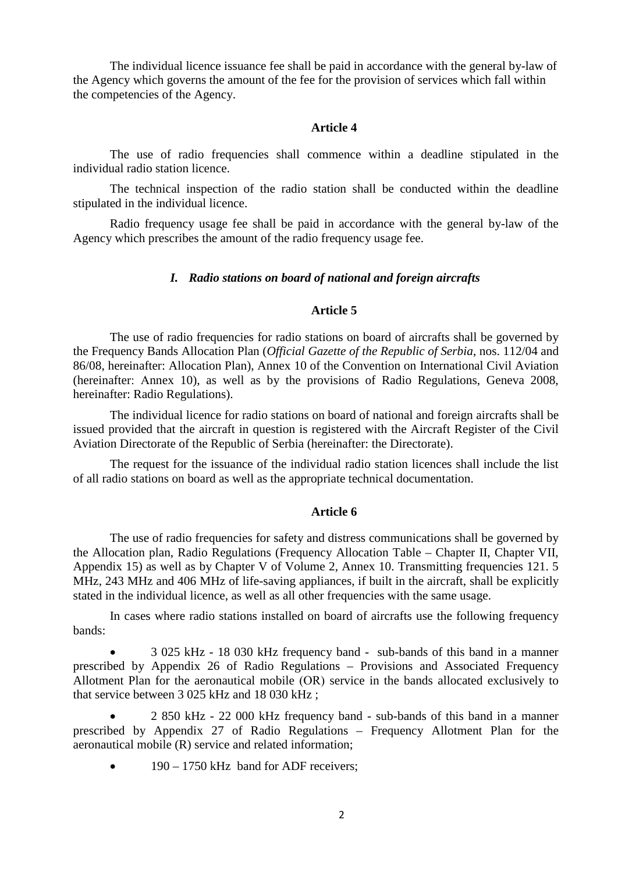The individual licence issuance fee shall be paid in accordance with the general by-law of the Agency which governs the amount of the fee for the provision of services which fall within the competencies of the Agency.

#### **Article 4**

The use of radio frequencies shall commence within a deadline stipulated in the individual radio station licence.

The technical inspection of the radio station shall be conducted within the deadline stipulated in the individual licence.

Radio frequency usage fee shall be paid in accordance with the general by-law of the Agency which prescribes the amount of the radio frequency usage fee.

### *I. Radio stations on board of national and foreign aircrafts*

#### **Article 5**

The use of radio frequencies for radio stations on board of aircrafts shall be governed by the Frequency Bands Allocation Plan (*Official Gazette of the Republic of Serbia*, nos. 112/04 and 86/08, hereinafter: Allocation Plan), Annex 10 of the Convention on International Civil Aviation (hereinafter: Аnnex 10), as well as by the provisions of Radio Regulations, Geneva 2008, hereinafter: Radio Regulations).

The individual licence for radio stations on board of national and foreign aircrafts shall be issued provided that the aircraft in question is registered with the Aircraft Register of the Civil Aviation Directorate of the Republic of Serbia (hereinafter: the Directorate).

The request for the issuance of the individual radio station licences shall include the list of all radio stations on board as well as the appropriate technical documentation.

#### **Article 6**

The use of radio frequencies for safety and distress communications shall be governed by the Allocation plan, Radio Regulations (Frequency Allocation Table – Chapter II, Chapter VII, Appendix 15) as well as by Chapter V of Volume 2, Annex 10. Transmitting frequencies 121. 5 MHz, 243 MHz and 406 MHz of life-saving appliances, if built in the aircraft, shall be explicitly stated in the individual licence, as well as all other frequencies with the same usage.

In cases where radio stations installed on board of aircrafts use the following frequency bands:

• 3 025 kHz - 18 030 kHz frequency band - sub-bands of this band in a manner prescribed by Appendix 26 of Radio Regulations – Provisions and Associated Frequency Allotment Plan for the aeronautical mobile (ОR) service in the bands allocated exclusively to that service between 3 025 kHz and 18 030 kHz ;

• 2 850 kHz - 22 000 kHz frequency band - sub-bands of this band in a manner prescribed by Appendix 27 of Radio Regulations – Frequency Allotment Plan for the aeronautical mobile (R) service and related information;

 $\bullet$  190 – 1750 kHz band for ADF receivers;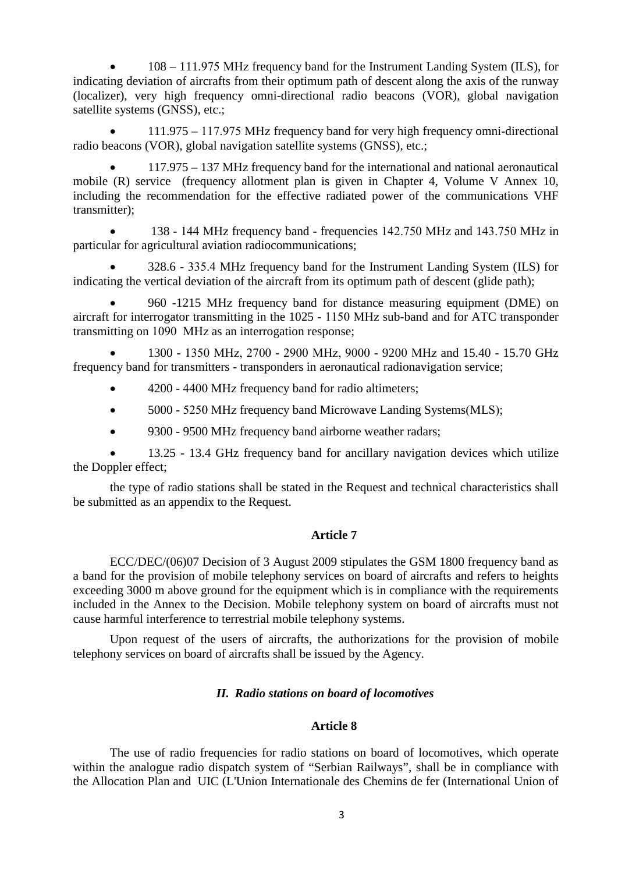• 108 – 111.975 МHz frequency band for the Instrument Landing System (ILS), for indicating deviation of aircrafts from their optimum path of descent along the axis of the runway (localizer), very high frequency omni-directional radio beacons (VOR), global navigation satellite systems (GNSS), etc.:

• 111.975 – 117.975 МHz frequency band for very high frequency omni-directional radio beacons (VOR), global navigation satellite systems (GNSS), etc.;

• 117.975 – 137 МHz frequency band for the international and national aeronautical mobile (R) service (frequency allotment plan is given in Chapter 4, Volume V Annex 10, including the recommendation for the effective radiated power of the communications VHF transmitter);

• 138 - 144 МHz frequency band - frequencies 142.750 МHz and 143.750 МHz in particular for agricultural aviation radiocommunications;

• 328.6 - 335.4 МHz frequency band for the Instrument Landing System (ILS) for indicating the vertical deviation of the aircraft from its optimum path of descent (glide path);

• 960 -1215 МHz frequency band for distance measuring equipment (DME) on aircraft for interrogator transmitting in the 1025 - 1150 МHz sub-band and for ATC transponder transmitting on 1090 МHz as an interrogation response;

• 1300 - 1350 МHz, 2700 - 2900 МHz, 9000 - 9200 МHz and 15.40 - 15.70 GHz frequency band for transmitters - transponders in aeronautical radionavigation service;

- 4200 4400 MHz frequency band for radio altimeters;
- 5000 5250 MHz frequency band Microwave Landing Systems (MLS);
- 9300 9500 MHz frequency band airborne weather radars;

• 13.25 - 13.4 GHz frequency band for ancillary navigation devices which utilize the Doppler effect;

the type of radio stations shall be stated in the Request and technical characteristics shall be submitted as an appendix to the Request.

# **Article 7**

ECC/DEC/(06)07 Decision of 3 August 2009 stipulates the GSM 1800 frequency band as a band for the provision of mobile telephony services on board of aircrafts and refers to heights exceeding 3000 m above ground for the equipment which is in compliance with the requirements included in the Annex to the Decision. Mobile telephony system on board of aircrafts must not cause harmful interference to terrestrial mobile telephony systems.

Upon request of the users of aircrafts, the authorizations for the provision of mobile telephony services on board of aircrafts shall be issued by the Agency.

# *II. Radio stations on board of locomotives*

# **Article 8**

The use of radio frequencies for radio stations on board of locomotives, which operate within the analogue radio dispatch system of "Serbian Railways", shall be in compliance with the Allocation Plan and UIC (L'Union Internationale des Chemins de fer (International Union of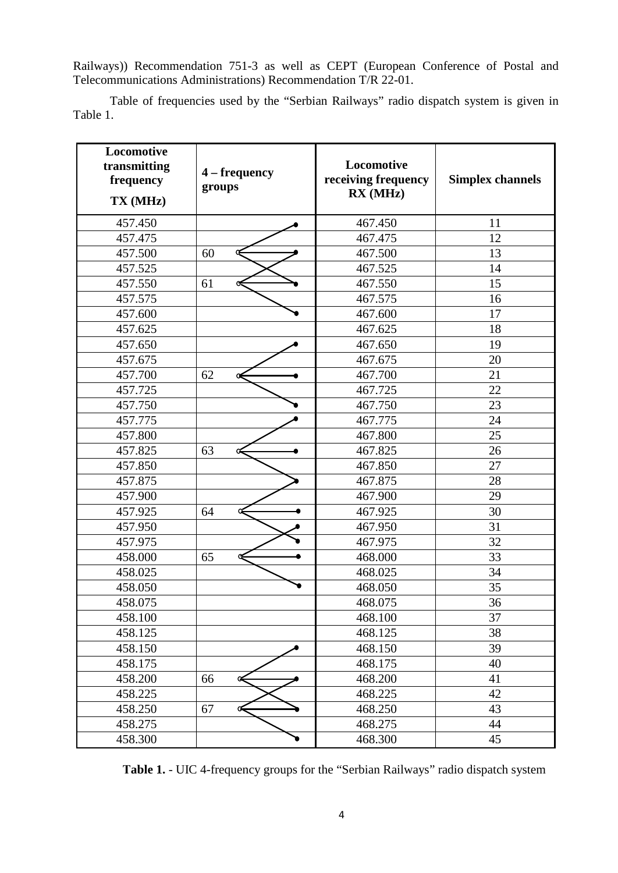Railways)) Recommendation 751-3 as well as CEPT (European Conference of Postal and Telecommunications Administrations) Recommendation T/R 22-01.

Table of frequencies used by the "Serbian Railways" radio dispatch system is given in Table 1.

| Locomotive<br>transmitting<br>frequency<br>TX (MHz) | 4 – frequency<br>groups | Locomotive<br>receiving frequency<br>RX (MHz) | <b>Simplex channels</b> |
|-----------------------------------------------------|-------------------------|-----------------------------------------------|-------------------------|
| 457.450                                             |                         | 467.450                                       | 11                      |
| 457.475                                             |                         | 467.475                                       | 12                      |
| 457.500                                             | 60                      | 467.500                                       | 13                      |
| 457.525                                             |                         | 467.525                                       | 14                      |
| 457.550                                             | 61                      | 467.550                                       | 15                      |
| 457.575                                             |                         | 467.575                                       | 16                      |
| 457.600                                             |                         | 467.600                                       | 17                      |
| 457.625                                             |                         | 467.625                                       | 18                      |
| 457.650                                             |                         | 467.650                                       | 19                      |
| 457.675                                             |                         | 467.675                                       | 20                      |
| 457.700                                             | 62                      | 467.700                                       | 21                      |
| 457.725                                             |                         | 467.725                                       | 22                      |
| 457.750                                             |                         | 467.750                                       | 23                      |
| 457.775                                             |                         | 467.775                                       | 24                      |
| 457.800                                             |                         | 467.800                                       | 25                      |
| 457.825                                             | 63                      | 467.825                                       | 26                      |
| 457.850                                             |                         | 467.850                                       | 27                      |
| 457.875                                             |                         | 467.875                                       | 28                      |
| 457.900                                             |                         | 467.900                                       | 29                      |
| 457.925                                             | 64                      | 467.925                                       | 30                      |
| 457.950                                             |                         | 467.950                                       | 31                      |
| 457.975                                             |                         | 467.975                                       | 32                      |
| 458.000                                             | 65                      | 468.000                                       | 33                      |
| 458.025                                             |                         | 468.025                                       | 34                      |
| 458.050                                             |                         | 468.050                                       | 35                      |
| 458.075                                             |                         | 468.075                                       | 36                      |
| 458.100                                             |                         | 468.100                                       | 37                      |
| 458.125                                             |                         | 468.125                                       | 38                      |
| 458.150                                             |                         | 468.150                                       | 39                      |
| 458.175                                             |                         | 468.175                                       | 40                      |
| 458.200                                             | 66<br>∝                 | 468.200                                       | 41                      |
| 458.225                                             |                         | 468.225                                       | 42                      |
| 458.250                                             | 67<br>Œ                 | 468.250                                       | 43                      |
| 458.275                                             |                         | 468.275                                       | 44                      |
| 458.300                                             |                         | 468.300                                       | 45                      |

**Тable 1.** - UIC 4-frequency groups for the "Serbian Railways" radio dispatch system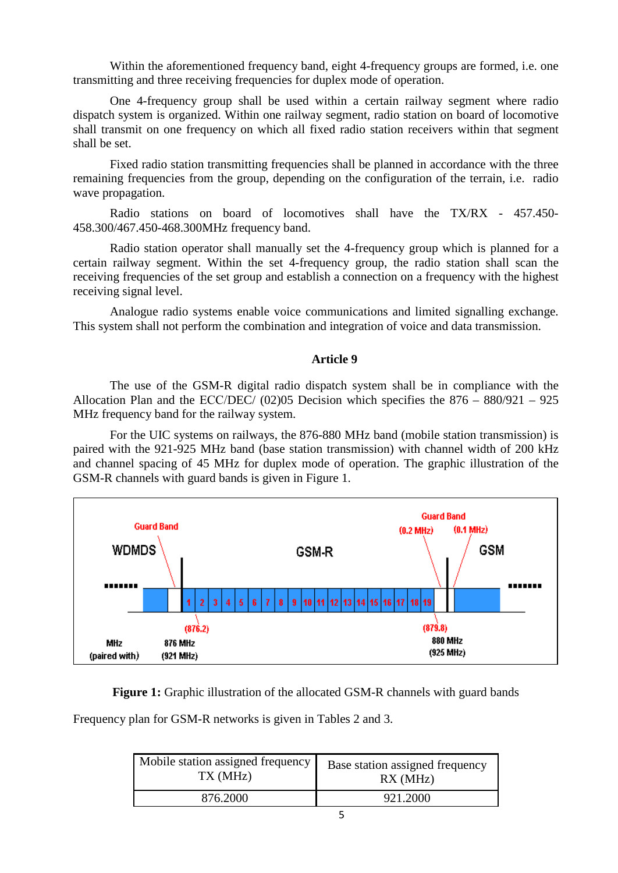Within the aforementioned frequency band, eight 4-frequency groups are formed, i.e. one transmitting and three receiving frequencies for duplex mode of operation.

One 4-frequency group shall be used within a certain railway segment where radio dispatch system is organized. Within one railway segment, radio station on board of locomotive shall transmit on one frequency on which all fixed radio station receivers within that segment shall be set.

Fixed radio station transmitting frequencies shall be planned in accordance with the three remaining frequencies from the group, depending on the configuration of the terrain, i.e. radio wave propagation.

Radio stations on board of locomotives shall have the TX/RX - 457.450- 458.300/467.450-468.300MHz frequency band.

Radio station operator shall manually set the 4-frequency group which is planned for a certain railway segment. Within the set 4-frequency group, the radio station shall scan the receiving frequencies of the set group and establish a connection on a frequency with the highest receiving signal level.

Analogue radio systems enable voice communications and limited signalling exchange. This system shall not perform the combination and integration of voice and data transmission.

# **Article 9**

The use of the GSM-R digital radio dispatch system shall be in compliance with the Allocation Plan and the ECC/DEC/  $(02)05$  Decision which specifies the  $876 - 880/921 - 925$ MHz frequency band for the railway system.

For the UIC systems on railways, the 876-880 MHz band (mobile station transmission) is paired with the 921-925 MHz band (base station transmission) with channel width of 200 kHz and channel spacing of 45 MHz for duplex mode of operation. The graphic illustration of the GSM-R channels with guard bands is given in Figure 1.



**Figure 1:** Graphic illustration of the allocated GSM-R channels with guard bands

Frequency plan for GSM-R networks is given in Tables 2 and 3.

| Mobile station assigned frequency | Base station assigned frequency |  |
|-----------------------------------|---------------------------------|--|
| TX (MHz)                          | RX(MHz)                         |  |
| 876.2000                          | 921.2000                        |  |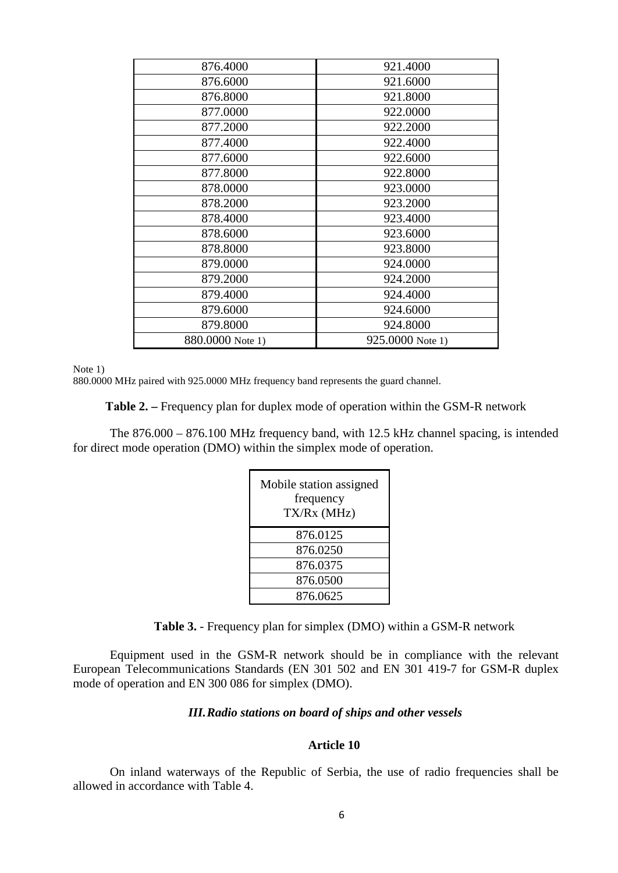| 876.4000         | 921.4000         |
|------------------|------------------|
| 876.6000         | 921.6000         |
| 876.8000         | 921.8000         |
| 877.0000         | 922.0000         |
| 877.2000         | 922.2000         |
| 877.4000         | 922.4000         |
| 877.6000         | 922.6000         |
| 877.8000         | 922.8000         |
| 878.0000         | 923.0000         |
| 878.2000         | 923.2000         |
| 878.4000         | 923.4000         |
| 878.6000         | 923.6000         |
| 878.8000         | 923.8000         |
| 879.0000         | 924.0000         |
| 879.2000         | 924.2000         |
| 879.4000         | 924.4000         |
| 879.6000         | 924.6000         |
| 879.8000         | 924.8000         |
| 880.0000 Note 1) | 925.0000 Note 1) |
|                  |                  |

Note 1)

880.0000 MHz paired with 925.0000 MHz frequency band represents the guard channel.

**Таble 2. –** Frequency plan for duplex mode of operation within the GSM-R network

The 876.000 – 876.100 MHz frequency band, with 12.5 kHz channel spacing, is intended for direct mode operation (DMO) within the simplex mode of operation.

| Mobile station assigned<br>frequency<br>TX/Rx (MHz) |
|-----------------------------------------------------|
| 876.0125                                            |
| 876.0250                                            |
| 876.0375                                            |
| 876.0500                                            |
| 876.0625                                            |

**Таble 3.** - Frequency plan for simplex (DMO) within a GSM-R network

Equipment used in the GSM-R network should be in compliance with the relevant European Telecommunications Standards (EN 301 502 and EN 301 419-7 for GSM-R duplex mode of operation and EN 300 086 for simplex (DMO).

# *III.Radio stations on board of ships and other vessels*

# **Article 10**

On inland waterways of the Republic of Serbia, the use of radio frequencies shall be allowed in accordance with Table 4.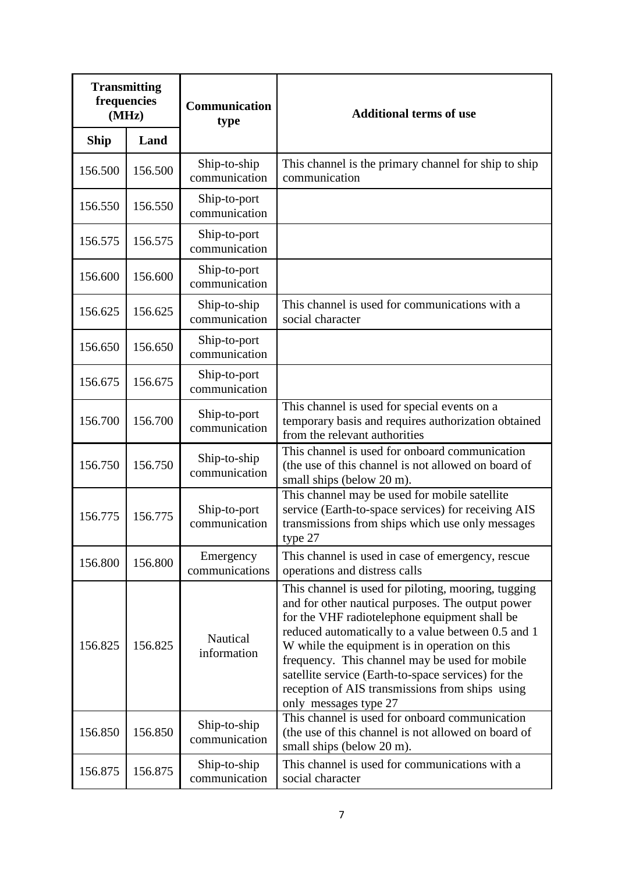| <b>Transmitting</b><br>frequencies<br>(MHz) |         | <b>Communication</b><br>type  | <b>Additional terms of use</b>                                                                                                                                                                                                                                                                                                                                                                                                                        |  |
|---------------------------------------------|---------|-------------------------------|-------------------------------------------------------------------------------------------------------------------------------------------------------------------------------------------------------------------------------------------------------------------------------------------------------------------------------------------------------------------------------------------------------------------------------------------------------|--|
| <b>Ship</b>                                 | Land    |                               |                                                                                                                                                                                                                                                                                                                                                                                                                                                       |  |
| 156.500                                     | 156.500 | Ship-to-ship<br>communication | This channel is the primary channel for ship to ship<br>communication                                                                                                                                                                                                                                                                                                                                                                                 |  |
| 156.550                                     | 156.550 | Ship-to-port<br>communication |                                                                                                                                                                                                                                                                                                                                                                                                                                                       |  |
| 156.575                                     | 156.575 | Ship-to-port<br>communication |                                                                                                                                                                                                                                                                                                                                                                                                                                                       |  |
| 156.600                                     | 156.600 | Ship-to-port<br>communication |                                                                                                                                                                                                                                                                                                                                                                                                                                                       |  |
| 156.625                                     | 156.625 | Ship-to-ship<br>communication | This channel is used for communications with a<br>social character                                                                                                                                                                                                                                                                                                                                                                                    |  |
| 156.650                                     | 156.650 | Ship-to-port<br>communication |                                                                                                                                                                                                                                                                                                                                                                                                                                                       |  |
| 156.675                                     | 156.675 | Ship-to-port<br>communication |                                                                                                                                                                                                                                                                                                                                                                                                                                                       |  |
| 156.700                                     | 156.700 | Ship-to-port<br>communication | This channel is used for special events on a<br>temporary basis and requires authorization obtained<br>from the relevant authorities                                                                                                                                                                                                                                                                                                                  |  |
| 156.750                                     | 156.750 | Ship-to-ship<br>communication | This channel is used for onboard communication<br>(the use of this channel is not allowed on board of<br>small ships (below 20 m).                                                                                                                                                                                                                                                                                                                    |  |
| 156.775                                     | 156.775 | Ship-to-port<br>communication | This channel may be used for mobile satellite<br>service (Earth-to-space services) for receiving AIS<br>transmissions from ships which use only messages<br>type $27$                                                                                                                                                                                                                                                                                 |  |
| 156.800                                     | 156.800 | Emergency<br>communications   | This channel is used in case of emergency, rescue<br>operations and distress calls                                                                                                                                                                                                                                                                                                                                                                    |  |
| 156.825                                     | 156.825 | Nautical<br>information       | This channel is used for piloting, mooring, tugging<br>and for other nautical purposes. The output power<br>for the VHF radiotelephone equipment shall be<br>reduced automatically to a value between 0.5 and 1<br>W while the equipment is in operation on this<br>frequency. This channel may be used for mobile<br>satellite service (Earth-to-space services) for the<br>reception of AIS transmissions from ships using<br>only messages type 27 |  |
| 156.850                                     | 156.850 | Ship-to-ship<br>communication | This channel is used for onboard communication<br>(the use of this channel is not allowed on board of<br>small ships (below 20 m).                                                                                                                                                                                                                                                                                                                    |  |
| 156.875                                     | 156.875 | Ship-to-ship<br>communication | This channel is used for communications with a<br>social character                                                                                                                                                                                                                                                                                                                                                                                    |  |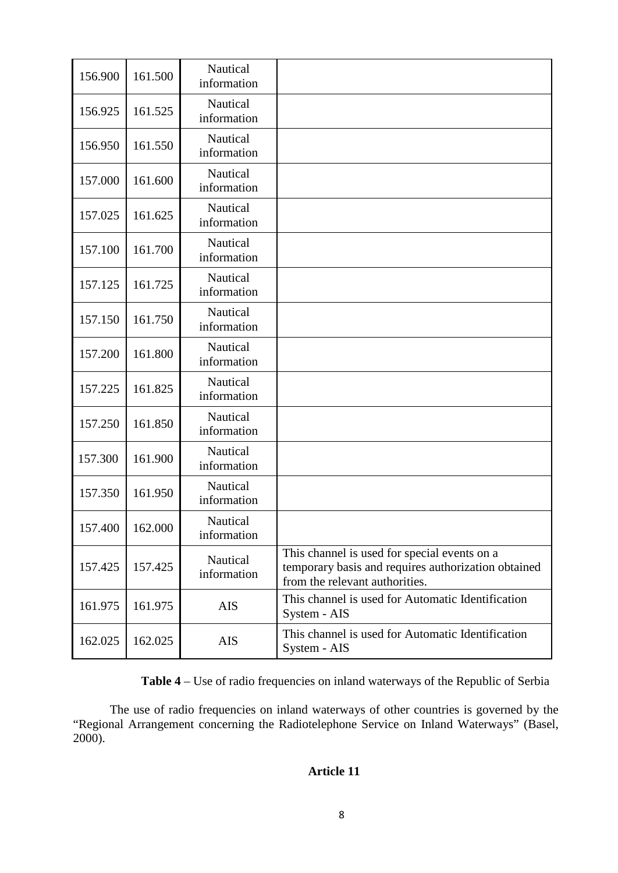| 156.900 | 161.500 | Nautical<br>information |                                                                                                                                       |
|---------|---------|-------------------------|---------------------------------------------------------------------------------------------------------------------------------------|
| 156.925 | 161.525 | Nautical<br>information |                                                                                                                                       |
| 156.950 | 161.550 | Nautical<br>information |                                                                                                                                       |
| 157.000 | 161.600 | Nautical<br>information |                                                                                                                                       |
| 157.025 | 161.625 | Nautical<br>information |                                                                                                                                       |
| 157.100 | 161.700 | Nautical<br>information |                                                                                                                                       |
| 157.125 | 161.725 | Nautical<br>information |                                                                                                                                       |
| 157.150 | 161.750 | Nautical<br>information |                                                                                                                                       |
| 157.200 | 161.800 | Nautical<br>information |                                                                                                                                       |
| 157.225 | 161.825 | Nautical<br>information |                                                                                                                                       |
| 157.250 | 161.850 | Nautical<br>information |                                                                                                                                       |
| 157.300 | 161.900 | Nautical<br>information |                                                                                                                                       |
| 157.350 | 161.950 | Nautical<br>information |                                                                                                                                       |
| 157.400 | 162.000 | Nautical<br>information |                                                                                                                                       |
| 157.425 | 157.425 | Nautical<br>information | This channel is used for special events on a<br>temporary basis and requires authorization obtained<br>from the relevant authorities. |
| 161.975 | 161.975 | <b>AIS</b>              | This channel is used for Automatic Identification<br>System - AIS                                                                     |
| 162.025 | 162.025 | AIS                     | This channel is used for Automatic Identification<br>System - AIS                                                                     |

**Тable 4** – Use of radio frequencies on inland waterways of the Republic of Serbia

The use of radio frequencies on inland waterways of other countries is governed by the "Regional Arrangement concerning the Radiotelephone Service on Inland Waterways" (Basel, 2000).

# **Article 11**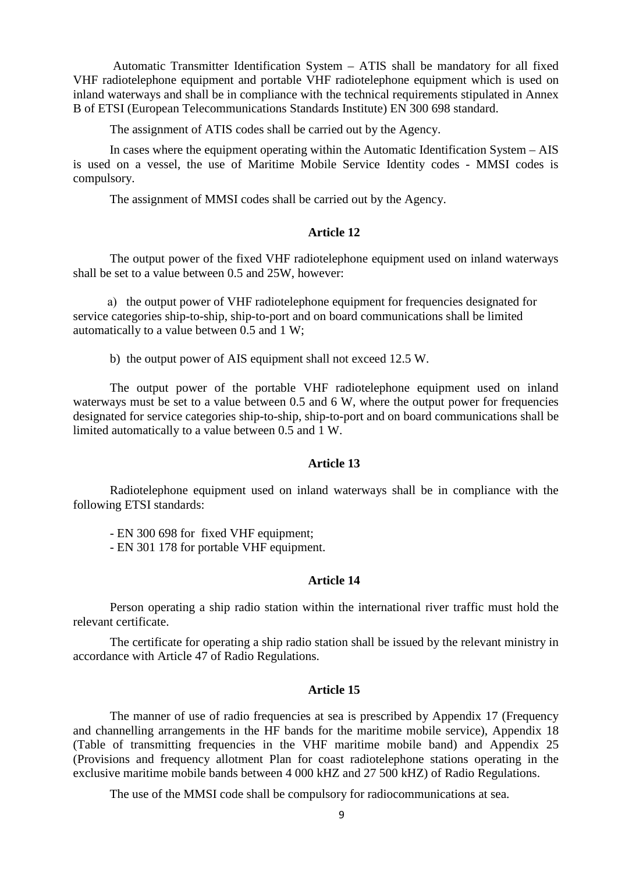Automatic Transmitter Identification System – ATIS shall be mandatory for all fixed VHF radiotelephone equipment and portable VHF radiotelephone equipment which is used on inland waterways and shall be in compliance with the technical requirements stipulated in Annex B of ETSI (European Telecommunications Standards Institute) EN 300 698 standard.

The assignment of ATIS codes shall be carried out by the Agency.

In cases where the equipment operating within the Automatic Identification System – AIS is used on a vessel, the use of Maritime Mobile Service Identity codes - MMSI codes is compulsory.

The assignment of MMSI codes shall be carried out by the Agency.

### **Article 12**

The output power of the fixed VHF radiotelephone equipment used on inland waterways shall be set to a value between 0.5 and 25W, however:

 а) the output power of VHF radiotelephone equipment for frequencies designated for service categories ship-to-ship, ship-to-port and on board communications shall be limited automatically to a value between 0.5 and 1 W;

b) the output power of AIS equipment shall not exceed 12.5 W.

The output power of the portable VHF radiotelephone equipment used on inland waterways must be set to a value between 0.5 and 6 W, where the output power for frequencies designated for service categories ship-to-ship, ship-to-port and on board communications shall be limited automatically to a value between 0.5 and 1 W.

# **Article 13**

Radiotelephone equipment used on inland waterways shall be in compliance with the following ETSI standards:

- EN 300 698 for fixed VHF equipment;

- EN 301 178 for portable VHF equipment.

## **Article 14**

Person operating a ship radio station within the international river traffic must hold the relevant certificate.

The certificate for operating a ship radio station shall be issued by the relevant ministry in accordance with Article 47 of Radio Regulations.

### **Article 15**

The manner of use of radio frequencies at sea is prescribed by Appendix 17 (Frequency and channelling arrangements in the HF bands for the maritime mobile service), Appendix 18 (Table of transmitting frequencies in the VHF maritime mobile band) and Appendix 25 (Provisions and frequency allotment Plan for coast radiotelephone stations operating in the exclusive maritime mobile bands between 4 000 kHZ and 27 500 kHZ) of Radio Regulations.

The use of the MMSI code shall be compulsory for radiocommunications at sea.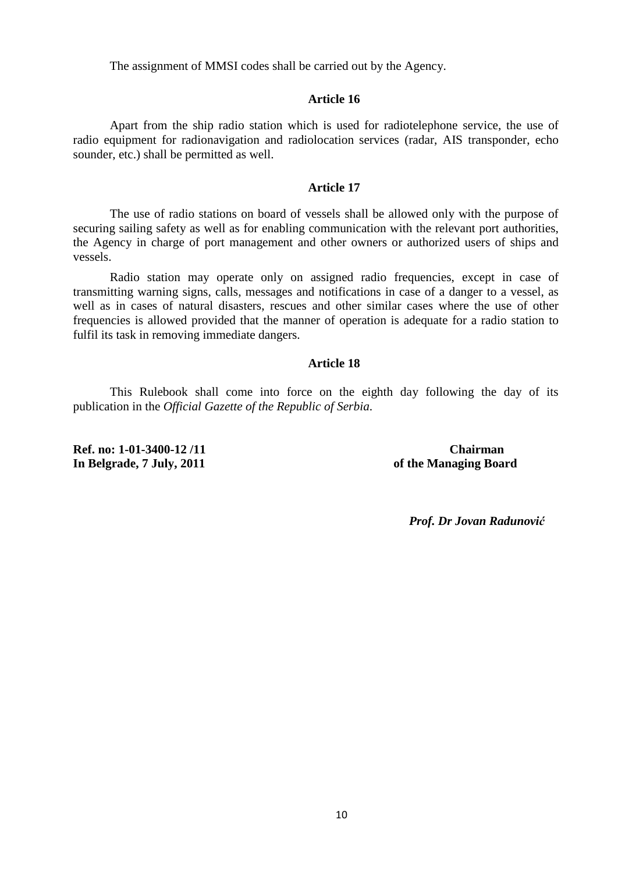The assignment of MMSI codes shall be carried out by the Agency.

### **Article 16**

Apart from the ship radio station which is used for radiotelephone service, the use of radio equipment for radionavigation and radiolocation services (radar, AIS transponder, echo sounder, etc.) shall be permitted as well.

### **Article 17**

The use of radio stations on board of vessels shall be allowed only with the purpose of securing sailing safety as well as for enabling communication with the relevant port authorities, the Agency in charge of port management and other owners or authorized users of ships and vessels.

Radio station may operate only on assigned radio frequencies, except in case of transmitting warning signs, calls, messages and notifications in case of a danger to a vessel, as well as in cases of natural disasters, rescues and other similar cases where the use of other frequencies is allowed provided that the manner of operation is adequate for a radio station to fulfil its task in removing immediate dangers.

#### **Article 18**

This Rulebook shall come into force on the eighth day following the day of its publication in the *Official Gazette of the Republic of Serbia*.

**Ref. no: 1-01-3400-12 /11 Chairman In Belgrade, 7 July, 2011 of the Managing Board**

*Prof. Dr Jovan Radunović*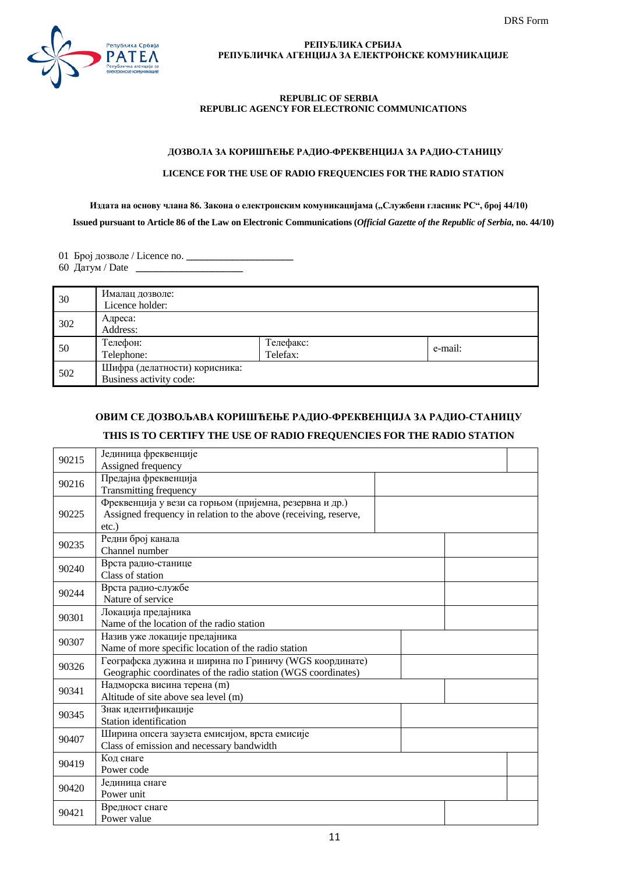

#### **РЕПУБЛИКА СРБИЈА РЕПУБЛИЧКА АГЕНЦИЈА ЗА ЕЛЕКТРОНСКЕ КОМУНИКАЦИЈЕ**

#### **REPUBLIC OF SERBIA REPUBLIC AGENCY FOR ELECTRONIC COMMUNICATIONS**

#### **ДОЗВОЛА ЗА КОРИШЋЕЊЕ РАДИО-ФРЕКВЕНЦИЈА ЗА РАДИО-СТАНИЦУ**

### **LICENCE FOR THE USE OF RADIO FREQUENCIES FOR THE RADIO STATION**

# Издата на основу члана 86. Закона о електронским комуникацијама ("Службени гласник РС", број 44/10)  **Issued pursuant to Article 86 of the Law on Electronic Communications (***Official Gazette of the Republic of Serbia***, no. 44/10)**

01 Број дозволе / Licence no. **\_\_\_\_\_\_\_\_\_\_\_\_\_\_\_\_\_\_\_\_\_** 

60 Датум / Date **\_\_\_\_\_\_\_\_\_\_\_\_\_\_\_\_\_\_\_\_\_**

| 30  | Ималац дозволе:<br>Licence holder:                       |                       |         |
|-----|----------------------------------------------------------|-----------------------|---------|
| 302 | Адреса:<br>Address:                                      |                       |         |
| 50  | Телефон:<br>Telephone:                                   | Телефакс:<br>Telefax: | e-mail: |
| 502 | Шифра (делатности) корисника:<br>Business activity code: |                       |         |

# **ОВИМ СЕ ДОЗВОЉАВА КОРИШЋЕЊЕ РАДИО-ФРЕКВЕНЦИЈА ЗА РАДИО-СТАНИЦУ**

# **THIS IS TO CERTIFY THE USE OF RADIO FREQUENCIES FOR THE RADIO STATION**

| 90215                                                         | Јединица фреквенције                                             |  |  |  |
|---------------------------------------------------------------|------------------------------------------------------------------|--|--|--|
|                                                               | Assigned frequency                                               |  |  |  |
| 90216                                                         | Предајна фреквенција                                             |  |  |  |
|                                                               | Transmitting frequency                                           |  |  |  |
|                                                               | Фреквенција у вези са горњом (пријемна, резервна и др.)          |  |  |  |
| 90225                                                         | Assigned frequency in relation to the above (receiving, reserve, |  |  |  |
|                                                               | $etc.$ )                                                         |  |  |  |
| 90235                                                         | Редни број канала                                                |  |  |  |
|                                                               | Channel number                                                   |  |  |  |
| 90240                                                         | Врста радио-станице                                              |  |  |  |
|                                                               | Class of station                                                 |  |  |  |
| 90244                                                         | Врста радио-службе                                               |  |  |  |
|                                                               | Nature of service                                                |  |  |  |
| 90301                                                         | Локација предајника                                              |  |  |  |
| Name of the location of the radio station                     |                                                                  |  |  |  |
| 90307                                                         | Назив уже локације предајника                                    |  |  |  |
|                                                               | Name of more specific location of the radio station              |  |  |  |
| 90326                                                         | Географска дужина и ширина по Гриничу (WGS координате)           |  |  |  |
| Geographic coordinates of the radio station (WGS coordinates) |                                                                  |  |  |  |
| 90341                                                         | Надморска висина терена (m)                                      |  |  |  |
|                                                               | Altitude of site above sea level (m)                             |  |  |  |
| 90345                                                         | Знак идентификације                                              |  |  |  |
|                                                               | Station identification                                           |  |  |  |
| 90407                                                         | Ширина опсега заузета емисијом, врста емисије                    |  |  |  |
|                                                               | Class of emission and necessary bandwidth                        |  |  |  |
| 90419                                                         | Код снаге                                                        |  |  |  |
|                                                               | Power code                                                       |  |  |  |
| 90420                                                         | Јединица снаге                                                   |  |  |  |
|                                                               | Power unit                                                       |  |  |  |
| 90421                                                         | Вредност снаге                                                   |  |  |  |
|                                                               | Power value                                                      |  |  |  |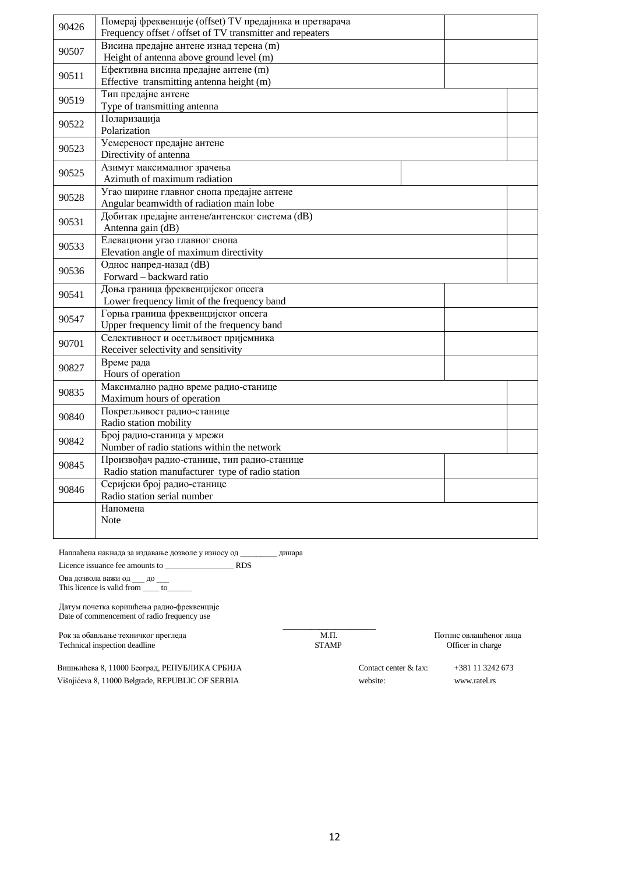| 90426 | Померај фреквенције (offset) TV предајника и претварача   |  |  |  |  |  |
|-------|-----------------------------------------------------------|--|--|--|--|--|
|       | Frequency offset / offset of TV transmitter and repeaters |  |  |  |  |  |
| 90507 | Висина предајне антене изнад терена (m)                   |  |  |  |  |  |
|       | Height of antenna above ground level (m)                  |  |  |  |  |  |
| 90511 | Ефективна висина предајне антене (m)                      |  |  |  |  |  |
|       | Effective transmitting antenna height (m)                 |  |  |  |  |  |
| 90519 | Тип предајне антене                                       |  |  |  |  |  |
|       | Type of transmitting antenna                              |  |  |  |  |  |
| 90522 | Поларизација                                              |  |  |  |  |  |
|       | Polarization                                              |  |  |  |  |  |
| 90523 | Усмереност предајне антене                                |  |  |  |  |  |
|       | Directivity of antenna                                    |  |  |  |  |  |
| 90525 | Азимут максималног зрачења                                |  |  |  |  |  |
|       | Azimuth of maximum radiation                              |  |  |  |  |  |
| 90528 | Угао ширине главног снопа предајне антене                 |  |  |  |  |  |
|       | Angular beamwidth of radiation main lobe                  |  |  |  |  |  |
| 90531 | Добитак предајне антене/антенског система (dB)            |  |  |  |  |  |
|       | Antenna gain (dB)                                         |  |  |  |  |  |
| 90533 | Елевациони угао главног снопа                             |  |  |  |  |  |
|       | Elevation angle of maximum directivity                    |  |  |  |  |  |
| 90536 | Однос напред-назад (dB)                                   |  |  |  |  |  |
|       | Forward - backward ratio                                  |  |  |  |  |  |
| 90541 | Доња граница фреквенцијског опсега                        |  |  |  |  |  |
|       | Lower frequency limit of the frequency band               |  |  |  |  |  |
| 90547 | Горња граница фреквенцијског опсега                       |  |  |  |  |  |
|       | Upper frequency limit of the frequency band               |  |  |  |  |  |
| 90701 | Селективност и осетљивост пријемника                      |  |  |  |  |  |
|       | Receiver selectivity and sensitivity                      |  |  |  |  |  |
| 90827 | Време рада                                                |  |  |  |  |  |
|       | Hours of operation                                        |  |  |  |  |  |
| 90835 | Максимално радно време радио-станице                      |  |  |  |  |  |
|       | Maximum hours of operation                                |  |  |  |  |  |
| 90840 | Покретљивост радио-станице                                |  |  |  |  |  |
|       | Radio station mobility                                    |  |  |  |  |  |
| 90842 | Број радио-станица у мрежи                                |  |  |  |  |  |
|       | Number of radio stations within the network               |  |  |  |  |  |
| 90845 | Произвођач радио-станице, тип радио-станице               |  |  |  |  |  |
|       | Radio station manufacturer type of radio station          |  |  |  |  |  |
| 90846 | Серијски број радио-станице                               |  |  |  |  |  |
|       | Radio station serial number                               |  |  |  |  |  |
|       | Напомена                                                  |  |  |  |  |  |
|       | <b>Note</b>                                               |  |  |  |  |  |
|       |                                                           |  |  |  |  |  |

Наплаћена накнада за издавање дозволе у износу од \_\_\_\_\_\_\_\_\_ динара

Licence issuance fee amounts to \_\_\_\_\_\_\_\_\_\_\_\_\_\_\_\_\_ RDS

Ова дозвола важи од \_\_\_ до \_\_\_

This licence is valid from  $\frac{1}{\sqrt{1-\frac{1}{c^2}}}$ 

Датум почетка коришћења радио-фреквенције Date of commencement of radio frequency use

Рок за обављање техничког прегледа М.П. М.П. М.П. Потпис овлашћеног лица Technical inspection deadline STAMP Officer in charge

\_\_\_\_\_\_\_\_\_\_\_\_\_\_\_\_\_\_\_\_\_\_\_

Вишњићева 8, 11000 Београд, РЕПУБЛИКА СРБИЈА Višnjićeva 8, 11000 Belgrade, REPUBLIC OF SERBIA

Contact center & fax: website:

+381 11 3242 673 www.ratel.rs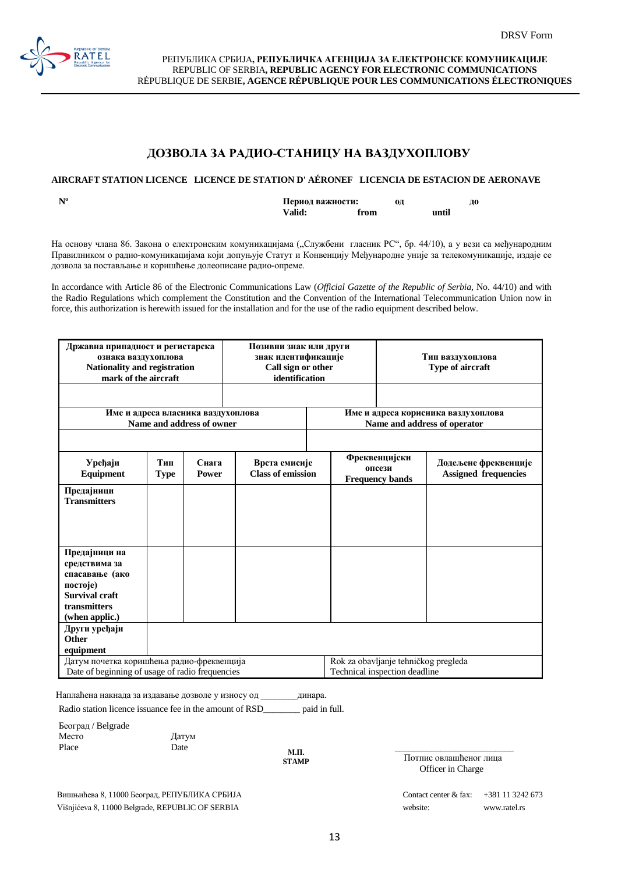

РЕПУБЛИКА СРБИЈА**, РЕПУБЛИЧКА АГЕНЦИЈА ЗА ЕЛЕКТРОНСКЕ КОМУНИКАЦИЈЕ** REPUBLIC OF SERBIA**, REPUBLIC AGENCY FOR ELECTRONIC COMMUNICATIONS** RÉPUBLIQUE DE SERBIE**, AGENCE RÉPUBLIQUE POUR LES COMMUNICATIONS ÉLECTRONIQUES**

## **ДОЗВОЛА ЗА РАДИО-СТАНИЦУ НА ВАЗДУХОПЛОВУ**

#### **AIRCRAFT STATION LICENCE LICENCE DE STATION D' AÉRONEF LICENCIA DE ESTACION DE AERONAVE**

**Nº Период важности: од до Valid:** from

На основу члана 86. Закона о електронским комуникацијама ("Службени гласник РС", бр. 44/10), а у вези са међународним Правилником о радио-комуникацијама који допуњује Статут и Конвенцију Међународне уније за телекомуникације, издаје се дозвола за постављање и коришћење долеописане радио-опреме.

In accordance with Article 86 of the Еlectronic Communications Law (*Оfficial Gazette of the Republic of Serbia,* No. 44/10) and with the Radio Regulations which complement the Constitution and the Convention of the International Telecommunication Union now in force, this authorization is herewith issued for the installation and for the use of the radio equipment described below.

| Државна припадност и регистарска<br>ознака ваздухоплова<br>Nationality and registration<br>mark of the aircraft<br>Име и адреса власника ваздухоплова |                                                                                   |  | Позивни знак или други<br>знак идентификације<br>Call sign or other<br>identification |                               | Тип ваздухоплова<br>Type of aircraft<br>Име и адреса корисника ваздухоплова                              |  |  |
|-------------------------------------------------------------------------------------------------------------------------------------------------------|-----------------------------------------------------------------------------------|--|---------------------------------------------------------------------------------------|-------------------------------|----------------------------------------------------------------------------------------------------------|--|--|
|                                                                                                                                                       | Name and address of owner                                                         |  |                                                                                       | Name and address of operator  |                                                                                                          |  |  |
| Уређаји<br>Equipment                                                                                                                                  | Тип<br>Снага<br>Врста емисије<br><b>Class of emission</b><br><b>Type</b><br>Power |  |                                                                                       |                               | Фреквенцијски<br>Додељене фреквенције<br>опсези<br><b>Assigned frequencies</b><br><b>Frequency bands</b> |  |  |
| Предајници<br><b>Transmitters</b>                                                                                                                     |                                                                                   |  |                                                                                       |                               |                                                                                                          |  |  |
| Предајници на<br>средствима за<br>спасавање (ако<br>постоје)<br><b>Survival craft</b><br>transmitters<br>(when applic.)                               |                                                                                   |  |                                                                                       |                               |                                                                                                          |  |  |
| Други уређаји<br>Other<br>equipment<br>Rok za obavljanje tehničkog pregleda<br>Датум почетка коришћења радио-фреквенција                              |                                                                                   |  |                                                                                       |                               |                                                                                                          |  |  |
| Date of beginning of usage of radio frequencies                                                                                                       |                                                                                   |  |                                                                                       | Technical inspection deadline |                                                                                                          |  |  |

Наплаћена накнада за издавање дозволе у износу од \_\_\_\_\_\_\_\_динара.

Radio station licence issuance fee in the amount of RSD\_\_\_\_\_\_\_\_ paid in full.

| Београд / Belgrade   |  |
|----------------------|--|
| Место<br>Датум       |  |
| Place<br>Date<br>м п |  |

**М.П. STAMP**

Вишњићева 8, 11000 Београд, РЕПУБЛИКА СРБИЈА Višnjićeva 8, 11000 Belgrade, REPUBLIC OF SERBIA

 Потпис овлашћеног лица Officer in Charge

| Contact center & fax: | $+381$ 11 3242 673 |
|-----------------------|--------------------|
| website:              | www.ratel.rs       |